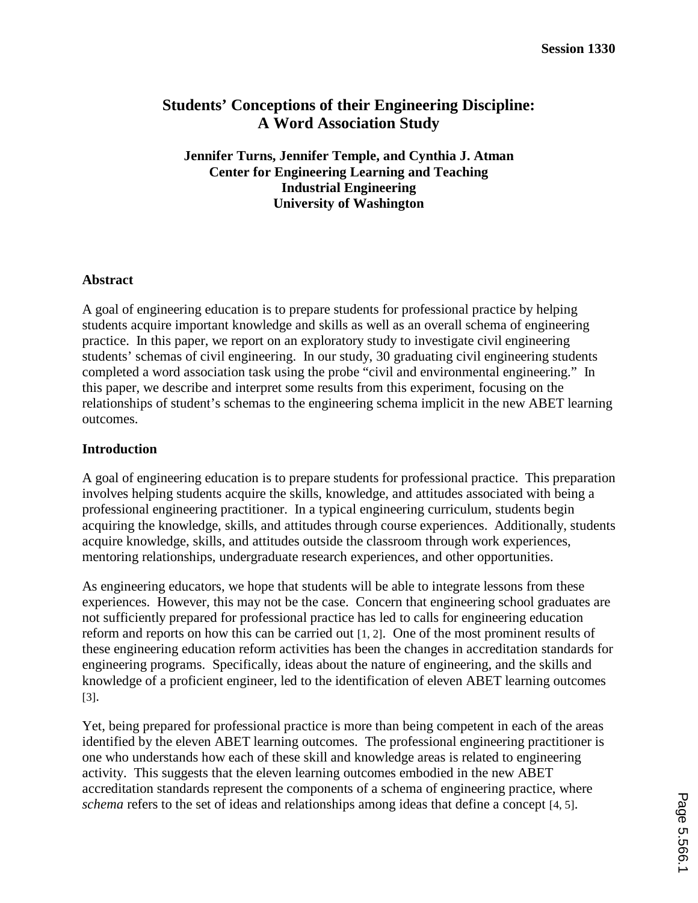# **Students' Conceptions of their Engineering Discipline: A Word Association Study**

**Jennifer Turns, Jennifer Temple, and Cynthia J. Atman Center for Engineering Learning and Teaching Industrial Engineering University of Washington** 

## **Abstract**

A goal of engineering education is to prepare students for professional practice by helping students acquire important knowledge and skills as well as an overall schema of engineering practice. In this paper, we report on an exploratory study to investigate civil engineering students' schemas of civil engineering. In our study, 30 graduating civil engineering students completed a word association task using the probe "civil and environmental engineering." In this paper, we describe and interpret some results from this experiment, focusing on the relationships of student's schemas to the engineering schema implicit in the new ABET learning outcomes.

## **Introduction**

A goal of engineering education is to prepare students for professional practice. This preparation involves helping students acquire the skills, knowledge, and attitudes associated with being a professional engineering practitioner. In a typical engineering curriculum, students begin acquiring the knowledge, skills, and attitudes through course experiences. Additionally, students acquire knowledge, skills, and attitudes outside the classroom through work experiences, mentoring relationships, undergraduate research experiences, and other opportunities.

As engineering educators, we hope that students will be able to integrate lessons from these experiences. However, this may not be the case. Concern that engineering school graduates are not sufficiently prepared for professional practice has led to calls for engineering education reform and reports on how this can be carried out [1, 2]. One of the most prominent results of these engineering education reform activities has been the changes in accreditation standards for engineering programs. Specifically, ideas about the nature of engineering, and the skills and knowledge of a proficient engineer, led to the identification of eleven ABET learning outcomes [3].

Yet, being prepared for professional practice is more than being competent in each of the areas identified by the eleven ABET learning outcomes. The professional engineering practitioner is one who understands how each of these skill and knowledge areas is related to engineering activity. This suggests that the eleven learning outcomes embodied in the new ABET accreditation standards represent the components of a schema of engineering practice, where *schema* refers to the set of ideas and relationships among ideas that define a concept [4, 5].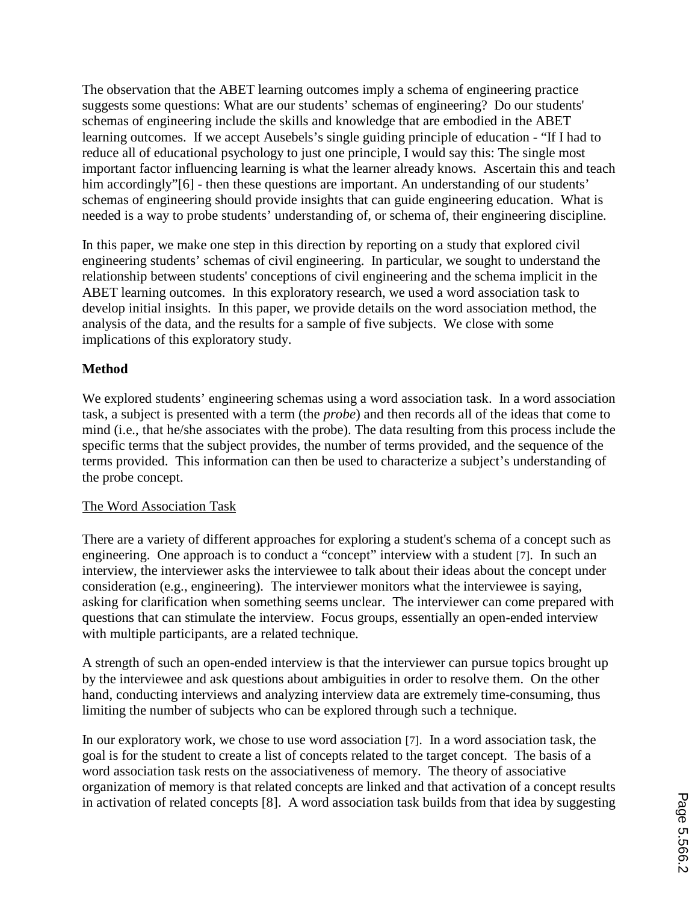The observation that the ABET learning outcomes imply a schema of engineering practice suggests some questions: What are our students' schemas of engineering? Do our students' schemas of engineering include the skills and knowledge that are embodied in the ABET learning outcomes. If we accept Ausebels's single guiding principle of education - "If I had to reduce all of educational psychology to just one principle, I would say this: The single most important factor influencing learning is what the learner already knows. Ascertain this and teach him accordingly"<sup>[6]</sup> - then these questions are important. An understanding of our students' schemas of engineering should provide insights that can guide engineering education. What is needed is a way to probe students' understanding of, or schema of, their engineering discipline.

In this paper, we make one step in this direction by reporting on a study that explored civil engineering students' schemas of civil engineering. In particular, we sought to understand the relationship between students' conceptions of civil engineering and the schema implicit in the ABET learning outcomes. In this exploratory research, we used a word association task to develop initial insights. In this paper, we provide details on the word association method, the analysis of the data, and the results for a sample of five subjects. We close with some implications of this exploratory study.

## **Method**

We explored students' engineering schemas using a word association task. In a word association task, a subject is presented with a term (the *probe*) and then records all of the ideas that come to mind (i.e., that he/she associates with the probe). The data resulting from this process include the specific terms that the subject provides, the number of terms provided, and the sequence of the terms provided. This information can then be used to characterize a subject's understanding of the probe concept.

## The Word Association Task

There are a variety of different approaches for exploring a student's schema of a concept such as engineering. One approach is to conduct a "concept" interview with a student [7]. In such an interview, the interviewer asks the interviewee to talk about their ideas about the concept under consideration (e.g., engineering). The interviewer monitors what the interviewee is saying, asking for clarification when something seems unclear. The interviewer can come prepared with questions that can stimulate the interview. Focus groups, essentially an open-ended interview with multiple participants, are a related technique.

A strength of such an open-ended interview is that the interviewer can pursue topics brought up by the interviewee and ask questions about ambiguities in order to resolve them. On the other hand, conducting interviews and analyzing interview data are extremely time-consuming, thus limiting the number of subjects who can be explored through such a technique.

In our exploratory work, we chose to use word association [7]. In a word association task, the goal is for the student to create a list of concepts related to the target concept. The basis of a word association task rests on the associativeness of memory. The theory of associative organization of memory is that related concepts are linked and that activation of a concept results in activation of related concepts [8]. A word association task builds from that idea by suggesting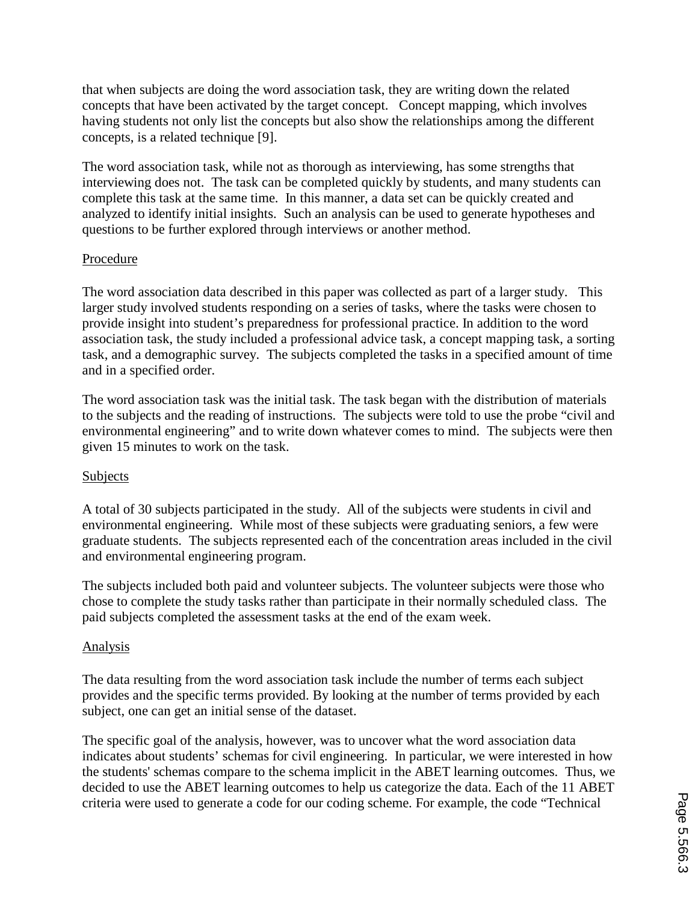that when subjects are doing the word association task, they are writing down the related concepts that have been activated by the target concept. Concept mapping, which involves having students not only list the concepts but also show the relationships among the different concepts, is a related technique [9].

The word association task, while not as thorough as interviewing, has some strengths that interviewing does not. The task can be completed quickly by students, and many students can complete this task at the same time. In this manner, a data set can be quickly created and analyzed to identify initial insights. Such an analysis can be used to generate hypotheses and questions to be further explored through interviews or another method.

## Procedure

The word association data described in this paper was collected as part of a larger study. This larger study involved students responding on a series of tasks, where the tasks were chosen to provide insight into student's preparedness for professional practice. In addition to the word association task, the study included a professional advice task, a concept mapping task, a sorting task, and a demographic survey. The subjects completed the tasks in a specified amount of time and in a specified order.

The word association task was the initial task. The task began with the distribution of materials to the subjects and the reading of instructions. The subjects were told to use the probe "civil and environmental engineering" and to write down whatever comes to mind. The subjects were then given 15 minutes to work on the task.

## Subjects

A total of 30 subjects participated in the study. All of the subjects were students in civil and environmental engineering. While most of these subjects were graduating seniors, a few were graduate students. The subjects represented each of the concentration areas included in the civil and environmental engineering program.

The subjects included both paid and volunteer subjects. The volunteer subjects were those who chose to complete the study tasks rather than participate in their normally scheduled class. The paid subjects completed the assessment tasks at the end of the exam week.

## Analysis

The data resulting from the word association task include the number of terms each subject provides and the specific terms provided. By looking at the number of terms provided by each subject, one can get an initial sense of the dataset.

The specific goal of the analysis, however, was to uncover what the word association data indicates about students' schemas for civil engineering. In particular, we were interested in how the students' schemas compare to the schema implicit in the ABET learning outcomes. Thus, we decided to use the ABET learning outcomes to help us categorize the data. Each of the 11 ABET criteria were used to generate a code for our coding scheme. For example, the code "Technical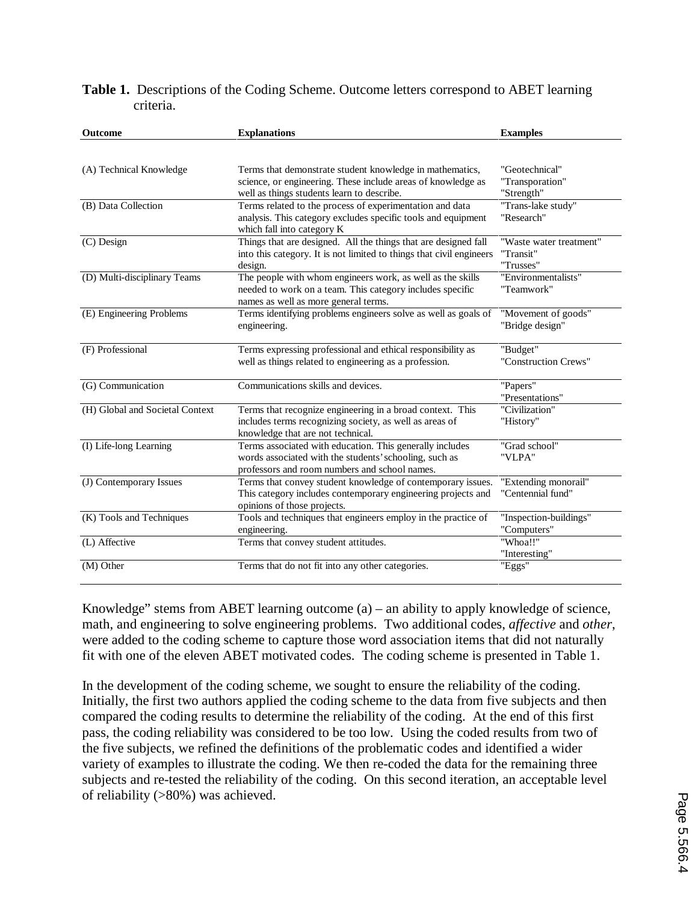| Table 1. Descriptions of the Coding Scheme. Outcome letters correspond to ABET learning |  |  |  |  |
|-----------------------------------------------------------------------------------------|--|--|--|--|
| criteria.                                                                               |  |  |  |  |

| Outcome                         | <b>Explanations</b>                                                                                                                                                    | <b>Examples</b>                                   |
|---------------------------------|------------------------------------------------------------------------------------------------------------------------------------------------------------------------|---------------------------------------------------|
|                                 |                                                                                                                                                                        |                                                   |
| (A) Technical Knowledge         | Terms that demonstrate student knowledge in mathematics,<br>science, or engineering. These include areas of knowledge as<br>well as things students learn to describe. | "Geotechnical"<br>"Transporation"<br>"Strength"   |
| (B) Data Collection             | Terms related to the process of experimentation and data<br>analysis. This category excludes specific tools and equipment<br>which fall into category K                | "Trans-lake study"<br>"Research"                  |
| (C) Design                      | Things that are designed. All the things that are designed fall<br>into this category. It is not limited to things that civil engineers<br>design.                     | "Waste water treatment"<br>"Transit"<br>"Trusses" |
| (D) Multi-disciplinary Teams    | The people with whom engineers work, as well as the skills<br>needed to work on a team. This category includes specific<br>names as well as more general terms.        | "Environmentalists"<br>"Teamwork"                 |
| (E) Engineering Problems        | Terms identifying problems engineers solve as well as goals of<br>engineering.                                                                                         | "Movement of goods"<br>"Bridge design"            |
| (F) Professional                | Terms expressing professional and ethical responsibility as<br>well as things related to engineering as a profession.                                                  | "Budget"<br>"Construction Crews"                  |
| (G) Communication               | Communications skills and devices.                                                                                                                                     | "Papers"<br>"Presentations"                       |
| (H) Global and Societal Context | Terms that recognize engineering in a broad context. This<br>includes terms recognizing society, as well as areas of<br>knowledge that are not technical.              | "Civilization"<br>"History"                       |
| (I) Life-long Learning          | Terms associated with education. This generally includes<br>words associated with the students' schooling, such as<br>professors and room numbers and school names.    | "Grad school"<br>"VLPA"                           |
| (J) Contemporary Issues         | Terms that convey student knowledge of contemporary issues.<br>This category includes contemporary engineering projects and<br>opinions of those projects.             | "Extending monorail"<br>"Centennial fund"         |
| (K) Tools and Techniques        | Tools and techniques that engineers employ in the practice of<br>engineering.                                                                                          | "Inspection-buildings"<br>"Computers"             |
| (L) Affective                   | Terms that convey student attitudes.                                                                                                                                   | "Whoa!!"<br>"Interesting"                         |
| (M) Other                       | Terms that do not fit into any other categories.                                                                                                                       | "Eggs"                                            |

Knowledge" stems from ABET learning outcome (a) – an ability to apply knowledge of science, math, and engineering to solve engineering problems. Two additional codes, *affective* and *other*, were added to the coding scheme to capture those word association items that did not naturally fit with one of the eleven ABET motivated codes. The coding scheme is presented in Table 1.

In the development of the coding scheme, we sought to ensure the reliability of the coding. Initially, the first two authors applied the coding scheme to the data from five subjects and then compared the coding results to determine the reliability of the coding. At the end of this first pass, the coding reliability was considered to be too low. Using the coded results from two of the five subjects, we refined the definitions of the problematic codes and identified a wider variety of examples to illustrate the coding. We then re-coded the data for the remaining three subjects and re-tested the reliability of the coding. On this second iteration, an acceptable level of reliability (>80%) was achieved.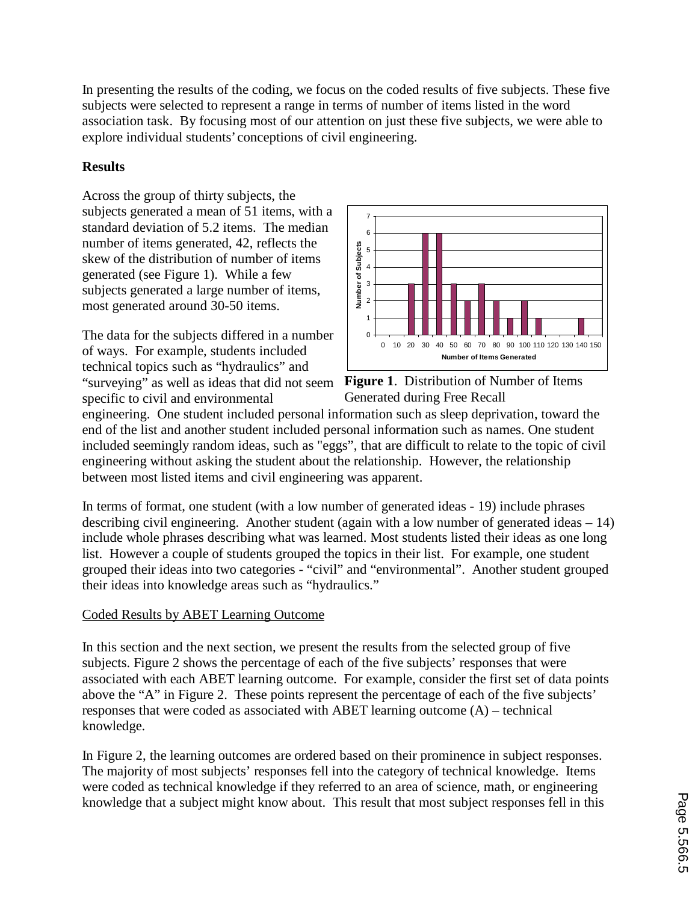In presenting the results of the coding, we focus on the coded results of five subjects. These five subjects were selected to represent a range in terms of number of items listed in the word association task. By focusing most of our attention on just these five subjects, we were able to explore individual students' conceptions of civil engineering.

## **Results**

Across the group of thirty subjects, the subjects generated a mean of 51 items, with a standard deviation of 5.2 items. The median number of items generated, 42, reflects the skew of the distribution of number of items generated (see Figure 1). While a few subjects generated a large number of items, most generated around 30-50 items.

The data for the subjects differed in a number of ways. For example, students included technical topics such as "hydraulics" and "surveying" as well as ideas that did not seem **Figure 1**. Distribution of Number of Items specific to civil and environmental



Generated during Free Recall

engineering. One student included personal information such as sleep deprivation, toward the end of the list and another student included personal information such as names. One student included seemingly random ideas, such as "eggs", that are difficult to relate to the topic of civil engineering without asking the student about the relationship. However, the relationship between most listed items and civil engineering was apparent.

In terms of format, one student (with a low number of generated ideas - 19) include phrases describing civil engineering. Another student (again with a low number of generated ideas – 14) include whole phrases describing what was learned. Most students listed their ideas as one long list. However a couple of students grouped the topics in their list. For example, one student grouped their ideas into two categories - "civil" and "environmental". Another student grouped their ideas into knowledge areas such as "hydraulics."

## Coded Results by ABET Learning Outcome

In this section and the next section, we present the results from the selected group of five subjects. Figure 2 shows the percentage of each of the five subjects' responses that were associated with each ABET learning outcome. For example, consider the first set of data points above the "A" in Figure 2. These points represent the percentage of each of the five subjects' responses that were coded as associated with ABET learning outcome (A) – technical knowledge.

In Figure 2, the learning outcomes are ordered based on their prominence in subject responses. The majority of most subjects' responses fell into the category of technical knowledge. Items were coded as technical knowledge if they referred to an area of science, math, or engineering knowledge that a subject might know about. This result that most subject responses fell in this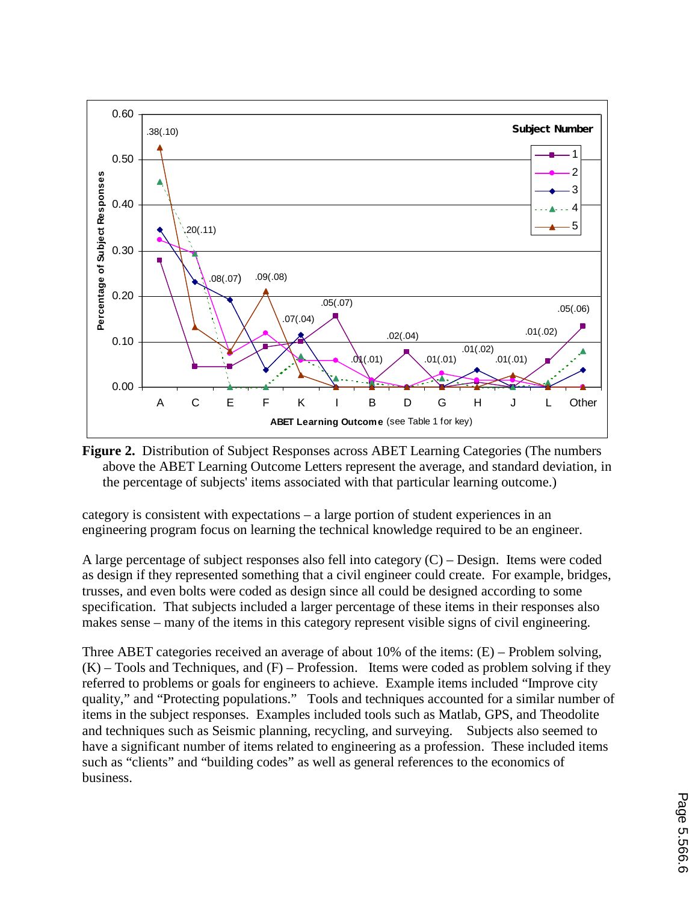

**Figure 2.** Distribution of Subject Responses across ABET Learning Categories (The numbers above the ABET Learning Outcome Letters represent the average, and standard deviation, in the percentage of subjects' items associated with that particular learning outcome.)

category is consistent with expectations – a large portion of student experiences in an engineering program focus on learning the technical knowledge required to be an engineer.

A large percentage of subject responses also fell into category  $(C)$  – Design. Items were coded as design if they represented something that a civil engineer could create. For example, bridges, trusses, and even bolts were coded as design since all could be designed according to some specification. That subjects included a larger percentage of these items in their responses also makes sense – many of the items in this category represent visible signs of civil engineering.

Three ABET categories received an average of about 10% of the items: (E) – Problem solving,  $(K)$  – Tools and Techniques, and  $(F)$  – Profession. Items were coded as problem solving if they referred to problems or goals for engineers to achieve. Example items included "Improve city quality," and "Protecting populations." Tools and techniques accounted for a similar number of items in the subject responses. Examples included tools such as Matlab, GPS, and Theodolite and techniques such as Seismic planning, recycling, and surveying. Subjects also seemed to have a significant number of items related to engineering as a profession. These included items such as "clients" and "building codes" as well as general references to the economics of business.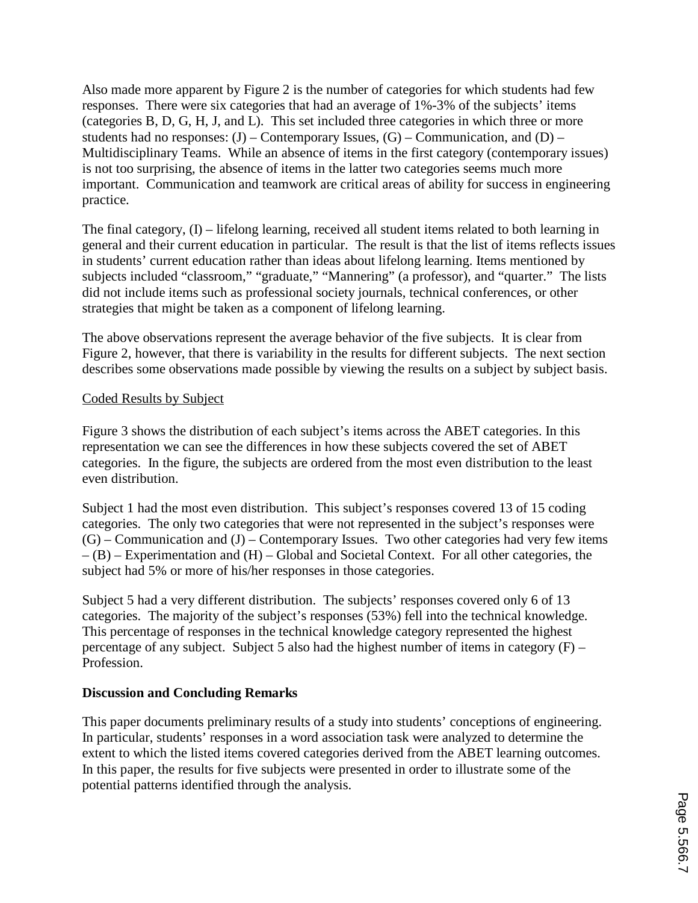Also made more apparent by Figure 2 is the number of categories for which students had few responses. There were six categories that had an average of 1%-3% of the subjects' items (categories B, D, G, H, J, and L). This set included three categories in which three or more students had no responses:  $(J)$  – Contemporary Issues,  $(G)$  – Communication, and  $(D)$  – Multidisciplinary Teams. While an absence of items in the first category (contemporary issues) is not too surprising, the absence of items in the latter two categories seems much more important. Communication and teamwork are critical areas of ability for success in engineering practice.

The final category, (I) – lifelong learning, received all student items related to both learning in general and their current education in particular. The result is that the list of items reflects issues in students' current education rather than ideas about lifelong learning. Items mentioned by subjects included "classroom," "graduate," "Mannering" (a professor), and "quarter." The lists did not include items such as professional society journals, technical conferences, or other strategies that might be taken as a component of lifelong learning.

The above observations represent the average behavior of the five subjects. It is clear from Figure 2, however, that there is variability in the results for different subjects. The next section describes some observations made possible by viewing the results on a subject by subject basis.

## Coded Results by Subject

Figure 3 shows the distribution of each subject's items across the ABET categories. In this representation we can see the differences in how these subjects covered the set of ABET categories. In the figure, the subjects are ordered from the most even distribution to the least even distribution.

Subject 1 had the most even distribution. This subject's responses covered 13 of 15 coding categories. The only two categories that were not represented in the subject's responses were  $(G)$  – Communication and  $(J)$  – Contemporary Issues. Two other categories had very few items  $-(B)$  – Experimentation and  $(H)$  – Global and Societal Context. For all other categories, the subject had 5% or more of his/her responses in those categories.

Subject 5 had a very different distribution. The subjects' responses covered only 6 of 13 categories. The majority of the subject's responses (53%) fell into the technical knowledge. This percentage of responses in the technical knowledge category represented the highest percentage of any subject. Subject 5 also had the highest number of items in category  $(F)$  – Profession.

## **Discussion and Concluding Remarks**

This paper documents preliminary results of a study into students' conceptions of engineering. In particular, students' responses in a word association task were analyzed to determine the extent to which the listed items covered categories derived from the ABET learning outcomes. In this paper, the results for five subjects were presented in order to illustrate some of the potential patterns identified through the analysis.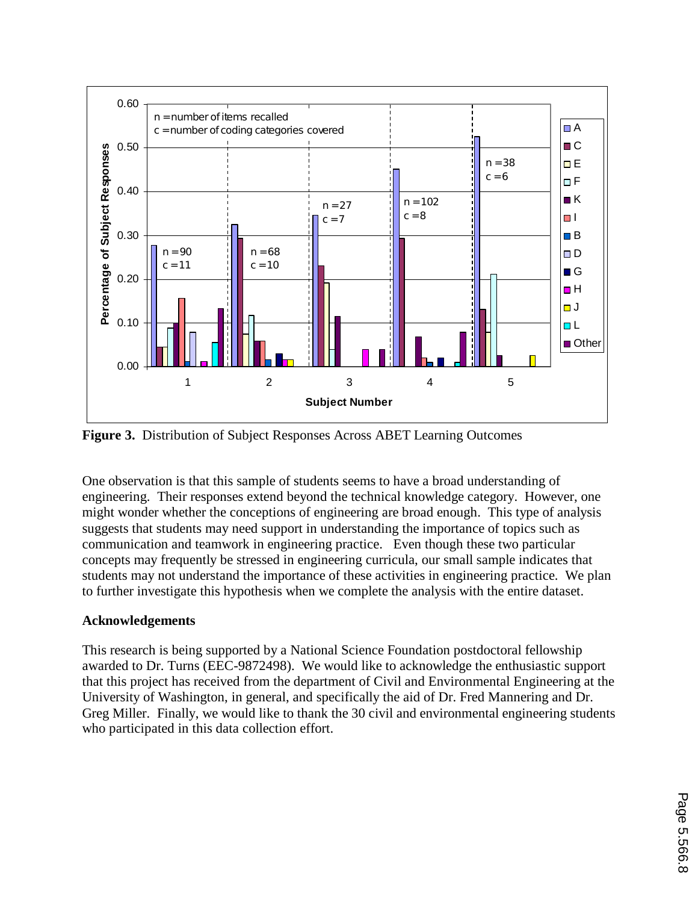

**Figure 3.** Distribution of Subject Responses Across ABET Learning Outcomes

One observation is that this sample of students seems to have a broad understanding of engineering. Their responses extend beyond the technical knowledge category. However, one might wonder whether the conceptions of engineering are broad enough. This type of analysis suggests that students may need support in understanding the importance of topics such as communication and teamwork in engineering practice. Even though these two particular concepts may frequently be stressed in engineering curricula, our small sample indicates that students may not understand the importance of these activities in engineering practice. We plan to further investigate this hypothesis when we complete the analysis with the entire dataset.

## **Acknowledgements**

This research is being supported by a National Science Foundation postdoctoral fellowship awarded to Dr. Turns (EEC-9872498). We would like to acknowledge the enthusiastic support that this project has received from the department of Civil and Environmental Engineering at the University of Washington, in general, and specifically the aid of Dr. Fred Mannering and Dr. Greg Miller. Finally, we would like to thank the 30 civil and environmental engineering students who participated in this data collection effort.